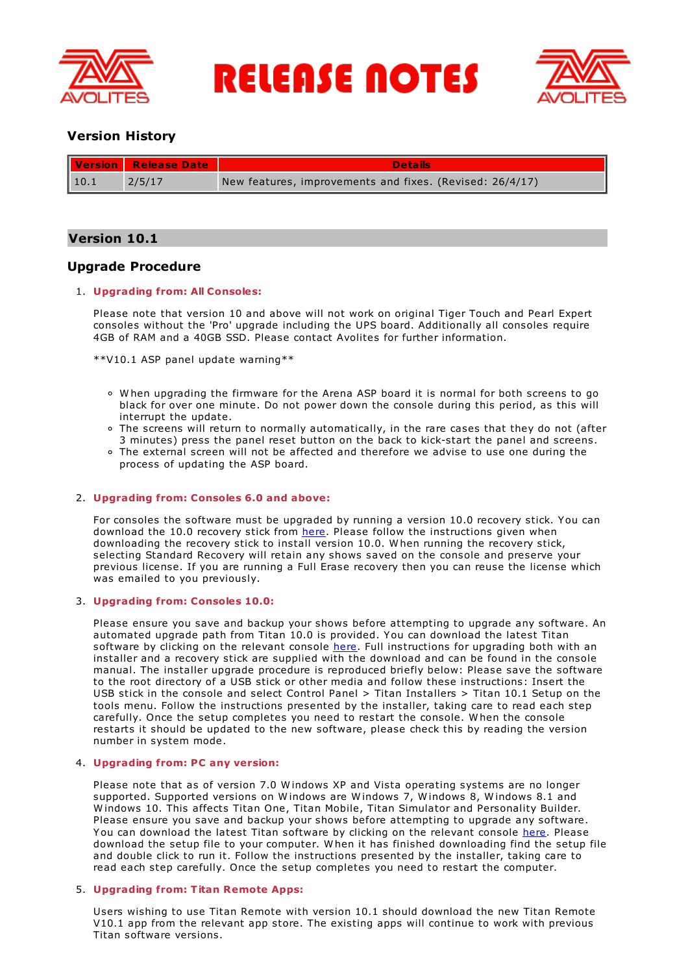

**RELEASE NOTES** 



# **Version History**

|      | Version Release Date | <b>Details</b>                                           |
|------|----------------------|----------------------------------------------------------|
| 10.1 | 2/5/17               | New features, improvements and fixes. (Revised: 26/4/17) |

# **Version 10.1**

# **Upgrade Procedure**

## 1. **Upgrading from: All Consoles:**

Please note that version 10 and above will not work on original Tiger Touch and Pearl Expert consoles without the 'Pro' upgrade including the UPS board. Additionally all consoles require 4GB of RAM and a 40GB SSD. Please contact Avolites for further information.

\*\*V10.1 ASP panel update warning\*\*

- W hen upgrading the firmware for the Arena ASP board it is normal for both screens to go black for over one minute. Do not power down the console during this period, as this will interrupt the update.
- The screens will return to normally automatically, in the rare cases that they do not (after 3 minutes) press the panel reset button on the back to kick-start the panel and screens.
- The external screen will not be affected and therefore we advise to use one during the process of updating the ASP board.

## 2. **Upgrading from: Consoles 6.0 and above:**

For consoles the software must be upgraded by running a version 10.0 recovery stick. You can download the 10.0 recovery stick from [here](http://www.avolites.com/software/latest-version). Please follow the instructions given when downloading the recovery stick to install version 10.0. W hen running the recovery stick, selecting Standard Recovery will retain any shows saved on the console and preserve your previous license. If you are running a Full Erase recovery then you can reuse the license which was emailed to you previously.

# 3. **Upgrading from: Consoles 10.0:**

Please ensure you save and backup your shows before attempting to upgrade any software. An automated upgrade path from Titan 10.0 is provided. You can download the latest Titan software by clicking on the relevant console [here](http://www.avolites.com/software/latest-version). Full instructions for upgrading both with an installer and a recovery stick are supplied with the download and can be found in the console manual. The installer upgrade procedure is reproduced briefly below: Please save the software to the root directory of a USB stick or other media and follow these instructions: Insert the USB stick in the console and select Control Panel > Titan Installers > Titan 10.1 Setup on the tools menu. Follow the instructions presented by the installer, taking care to read each step carefully. Once the setup completes you need to restart the console. W hen the console restarts it should be updated to the new software, please check this by reading the version number in system mode.

## 4. **Upgrading from: PC any version:**

Please note that as of version 7.0 W indows XP and Vista operating systems are no longer supported. Supported versions on W indows are W indows 7, W indows 8, W indows 8.1 and W indows 10. This affects Titan One, Titan Mobile, Titan Simulator and Personality Builder. Please ensure you save and backup your shows before attempting to upgrade any software. You can download the latest Titan software by clicking on the relevant console [here](http://www.avolites.com/software/latest-version). Please download the setup file to your computer. W hen it has finished downloading find the setup file and double click to run it. Follow the instructions presented by the installer, taking care to read each step carefully. Once the setup completes you need to restart the computer.

## 5. **Upgrading from: Titan Remote Apps:**

Users wishing to use Titan Remote with version 10.1 should download the new Titan Remote V10.1 app from the relevant app store. The existing apps will continue to work with previous Titan software versions.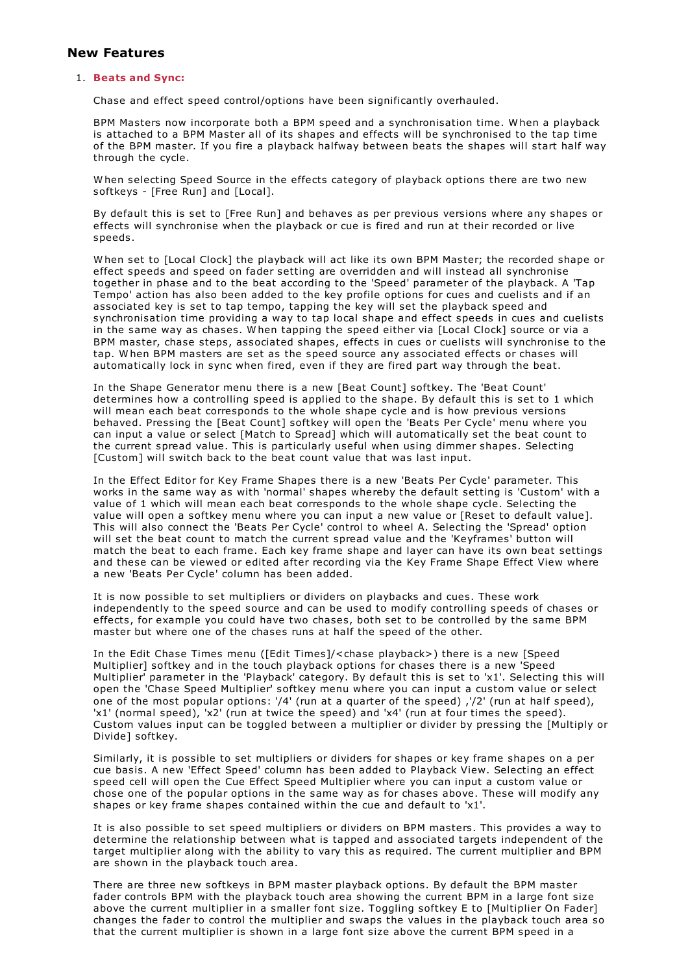# **New Features**

## 1. **Beats and Sync:**

Chase and effect speed control/options have been significantly overhauled.

BPM Masters now incorporate both a BPM speed and a synchronisation time. W hen a playback is attached to a BPM Master all of its shapes and effects will be synchronised to the tap time of the BPM master. If you fire a playback halfway between beats the shapes will start half way through the cycle.

W hen selecting Speed Source in the effects category of playback options there are two new softkeys - [Free Run] and [Local].

By default this is set to [Free Run] and behaves as per previous versions where any shapes or effects will synchronise when the playback or cue is fired and run at their recorded or live speeds.

W hen set to [Local Clock] the playback will act like its own BPM Master; the recorded shape or effect speeds and speed on fader setting are overridden and will instead all synchronise together in phase and to the beat according to the 'Speed' parameter of the playback. A 'Tap Tempo' action has also been added to the key profile options for cues and cuelists and if an associated key is set to tap tempo, tapping the key will set the playback speed and synchronisation time providing a way to tap local shape and effect speeds in cues and cuelists in the same way as chases. W hen tapping the speed either via [Local Clock] source or via a BPM master, chase steps, associated shapes, effects in cues or cuelists will synchronise to the tap. W hen BPM masters are set as the speed source any associated effects or chases will automatically lock in sync when fired, even if they are fired part way through the beat.

In the Shape Generator menu there is a new [Beat Count] softkey. The 'Beat Count' determines how a controlling speed is applied to the shape. By default this is set to 1 which will mean each beat corresponds to the whole shape cycle and is how previous versions behaved. Pressing the [Beat Count] softkey will open the 'Beats Per Cycle' menu where you can input a value or select [Match to Spread] which will automatically set the beat count to the current spread value. This is particularly useful when using dimmer shapes. Selecting [Custom] will switch back to the beat count value that was last input.

In the Effect Editor for Key Frame Shapes there is a new 'Beats Per Cycle' parameter. This works in the same way as with 'normal' shapes whereby the default setting is 'Custom' with a value of 1 which will mean each beat corresponds to the whole shape cycle. Selecting the value will open a softkey menu where you can input a new value or [Reset to default value]. This will also connect the 'Beats Per Cycle' control to wheel A. Selecting the 'Spread' option will set the beat count to match the current spread value and the 'Keyframes' button will match the beat to each frame. Each key frame shape and layer can have its own beat settings and these can be viewed or edited after recording via the Key Frame Shape Effect View where a new 'Beats Per Cycle' column has been added.

It is now possible to set multipliers or dividers on playbacks and cues. These work independently to the speed source and can be used to modify controlling speeds of chases or effects, for example you could have two chases, both set to be controlled by the same BPM master but where one of the chases runs at half the speed of the other.

In the Edit Chase Times menu ([Edit Times]/<chase playback>) there is a new [Speed Multiplier] softkey and in the touch playback options for chases there is a new 'Speed Multiplier' parameter in the 'Playback' category. By default this is set to 'x1'. Selecting this will open the 'Chase Speed Multiplier' softkey menu where you can input a custom value or select one of the most popular options: '/4' (run at a quarter of the speed) ,'/2' (run at half speed), 'x1' (normal speed), 'x2' (run at twice the speed) and 'x4' (run at four times the speed). Custom values input can be toggled between a multiplier or divider by pressing the [Multiply or Divide] softkey.

Similarly, it is possible to set multipliers or dividers for shapes or key frame shapes on a per cue basis. A new 'Effect Speed' column has been added to Playback View. Selecting an effect speed cell will open the Cue Effect Speed Multiplier where you can input a custom value or chose one of the popular options in the same way as for chases above. These will modify any shapes or key frame shapes contained within the cue and default to 'x1'.

It is also possible to set speed multipliers or dividers on BPM masters. This provides a way to determine the relationship between what is tapped and associated targets independent of the target multiplier along with the ability to vary this as required. The current multiplier and BPM are shown in the playback touch area.

There are three new softkeys in BPM master playback options. By default the BPM master fader controls BPM with the playback touch area showing the current BPM in a large font size above the current multiplier in a smaller font size. Toggling softkey E to [Multiplier On Fader] changes the fader to control the multiplier and swaps the values in the playback touch area so that the current multiplier is shown in a large font size above the current BPM speed in a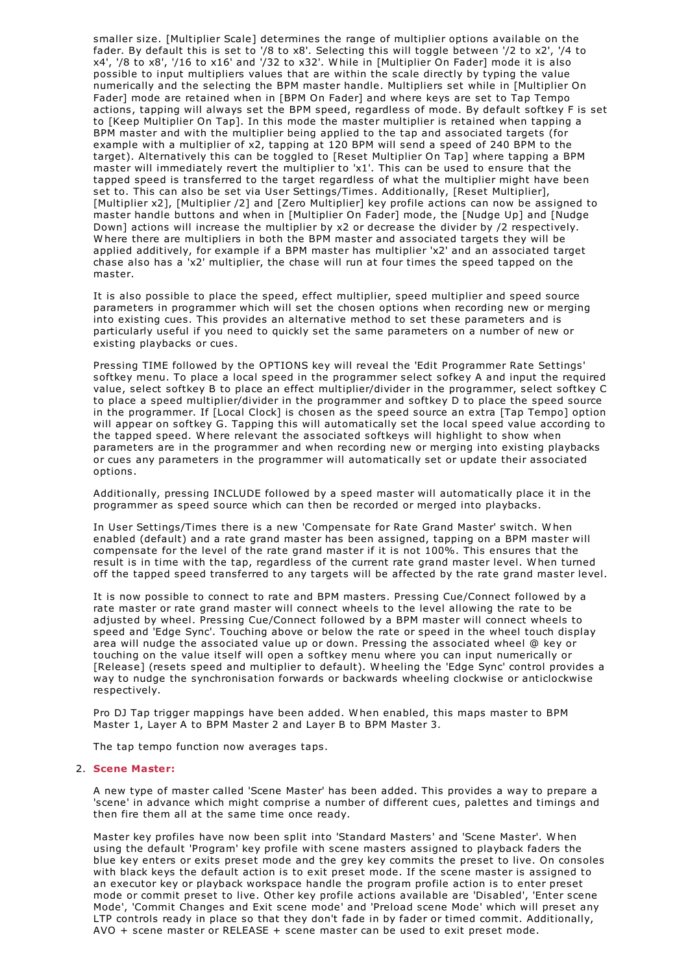smaller size. [Multiplier Scale] determines the range of multiplier options available on the fader. By default this is set to '/8 to x8'. Selecting this will toggle between '/2 to x2', '/4 to x4', '/8 to x8', '/16 to x16' and '/32 to x32'. W hile in [Multiplier On Fader] mode it is also possible to input multipliers values that are within the scale directly by typing the value numerically and the selecting the BPM master handle. Multipliers set while in [Multiplier On Fader] mode are retained when in [BPM On Fader] and where keys are set to Tap Tempo actions, tapping will always set the BPM speed, regardless of mode. By default softkey F is set to [Keep Multiplier On Tap]. In this mode the master multiplier is retained when tapping a BPM master and with the multiplier being applied to the tap and associated targets (for example with a multiplier of x2, tapping at 120 BPM will send a speed of 240 BPM to the target). Alternatively this can be toggled to [Reset Multiplier On Tap] where tapping a BPM master will immediately revert the multiplier to 'x1'. This can be used to ensure that the tapped speed is transferred to the target regardless of what the multiplier might have been set to. This can also be set via User Settings/Times. Additionally, [Reset Multiplier], [Multiplier x2], [Multiplier /2] and [Zero Multiplier] key profile actions can now be assigned to master handle buttons and when in [Multiplier On Fader] mode, the [Nudge Up] and [Nudge<br>Down] actions will increase the multiplier by x2 or decrease the divider by /2 respectively. Where there are multipliers in both the BPM master and associated targets they will be applied additively, for example if a BPM master has multiplier 'x2' and an associated target chase also has a 'x2' multiplier, the chase will run at four times the speed tapped on the master.

It is also possible to place the speed, effect multiplier, speed multiplier and speed source parameters in programmer which will set the chosen options when recording new or merging into existing cues. This provides an alternative method to set these parameters and is particularly useful if you need to quickly set the same parameters on a number of new or existing playbacks or cues.

Pressing TIME followed by the OPTIONS key will reveal the 'Edit Programmer Rate Settings' softkey menu. To place a local speed in the programmer select sofkey A and input the required value, select softkey B to place an effect multiplier/divider in the programmer, select softkey C to place a speed multiplier/divider in the programmer and softkey D to place the speed source in the programmer. If [Local Clock] is chosen as the speed source an extra [Tap Tempo] option will appear on softkey G. Tapping this will automatically set the local speed value according to the tapped speed. W here relevant the associated softkeys will highlight to show when parameters are in the programmer and when recording new or merging into existing playbacks or cues any parameters in the programmer will automatically set or update their associated options.

Additionally, pressing INCLUDE followed by a speed master will automatically place it in the programmer as speed source which can then be recorded or merged into playbacks.

In User Settings/Times there is a new 'Compensate for Rate Grand Master' switch. W hen enabled (default) and a rate grand master has been assigned, tapping on a BPM master will compensate for the level of the rate grand master if it is not 100%. This ensures that the result is in time with the tap, regardless of the current rate grand master level. W hen turned off the tapped speed transferred to any targets will be affected by the rate grand master level.

It is now possible to connect to rate and BPM masters. Pressing Cue/Connect followed by a rate master or rate grand master will connect wheels to the level allowing the rate to be adjusted by wheel. Pressing Cue/Connect followed by a BPM master will connect wheels to speed and 'Edge Sync'. Touching above or below the rate or speed in the wheel touch display area will nudge the associated value up or down. Pressing the associated wheel @ key or touching on the value itself will open a softkey menu where you can input numerically or [Release] (resets speed and multiplier to default). Wheeling the 'Edge Sync' control provides a way to nudge the synchronisation forwards or backwards wheeling clockwise or anticlockwise respectively.

Pro DJ Tap trigger mappings have been added. W hen enabled, this maps master to BPM Master 1, Layer A to BPM Master 2 and Layer B to BPM Master 3.

The tap tempo function now averages taps.

## 2. **Scene Master:**

A new type of master called 'Scene Master' has been added. This provides a way to prepare a 'scene' in advance which might comprise a number of different cues, palettes and timings and then fire them all at the same time once ready.

Master key profiles have now been split into 'Standard Masters' and 'Scene Master'. W hen using the default 'Program' key profile with scene masters assigned to playback faders the blue key enters or exits preset mode and the grey key commits the preset to live. On consoles with black keys the default action is to exit preset mode. If the scene master is assigned to an executor key or playback workspace handle the program profile action is to enter preset mode or commit preset to live. Other key profile actions available are 'Disabled', 'Enter scene Mode', 'Commit Changes and Exit scene mode' and 'Preload scene Mode' which will preset any LTP controls ready in place so that they don't fade in by fader or timed commit. Additionally, AVO + scene master or RELEASE + scene master can be used to exit preset mode.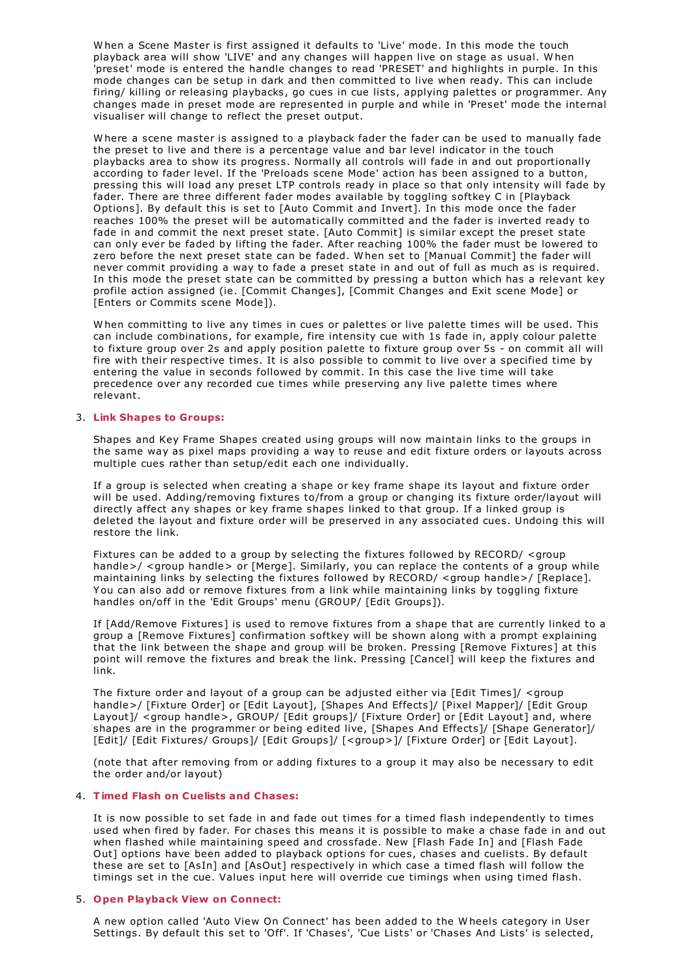W hen a Scene Master is first assigned it defaults to 'Live' mode. In this mode the touch playback area will show 'LIVE' and any changes will happen live on stage as usual. W hen 'preset' mode is entered the handle changes to read 'PRESET' and highlights in purple. In this mode changes can be setup in dark and then committed to live when ready. This can include firing/ killing or releasing playbacks, go cues in cue lists, applying palettes or programmer. Any changes made in preset mode are represented in purple and while in 'Preset' mode the internal visualiser will change to reflect the preset output.

W here a scene master is assigned to a playback fader the fader can be used to manually fade the preset to live and there is a percentage value and bar level indicator in the touch playbacks area to show its progress. Normally all controls will fade in and out proportionally according to fader level. If the 'Preloads scene Mode' action has been assigned to a button, pressing this will load any preset LTP controls ready in place so that only intensity will fade by fader. There are three different fader modes available by toggling softkey C in [Playback Options]. By default this is set to [Auto Commit and Invert]. In this mode once the fader reaches 100% the preset will be automatically committed and the fader is inverted ready to fade in and commit the next preset state. [Auto Commit] is similar except the preset state can only ever be faded by lifting the fader. After reaching 100% the fader must be lowered to zero before the next preset state can be faded. W hen set to [Manual Commit] the fader will never commit providing a way to fade a preset state in and out of full as much as is required. In this mode the preset state can be committed by pressing a button which has a relevant key profile action assigned (ie. [Commit Changes], [Commit Changes and Exit scene Mode] or [Enters or Commits scene Mode]).

W hen committing to live any times in cues or palettes or live palette times will be used. This can include combinations, for example, fire intensity cue with 1s fade in, apply colour palette to fixture group over 2s and apply position palette to fixture group over 5s - on commit all will fire with their respective times. It is also possible to commit to live over a specified time by entering the value in seconds followed by commit. In this case the live time will take precedence over any recorded cue times while preserving any live palette times where relevant.

## 3. **Link Shapes to Groups:**

Shapes and Key Frame Shapes created using groups will now maintain links to the groups in the same way as pixel maps providing a way to reuse and edit fixture orders or layouts across multiple cues rather than setup/edit each one individually.

If a group is selected when creating a shape or key frame shape its layout and fixture order will be used. Adding/removing fixtures to/from a group or changing its fixture order/layout will directly affect any shapes or key frame shapes linked to that group. If a linked group is deleted the layout and fixture order will be preserved in any associated cues. Undoing this will restore the link.

Fixtures can be added to a group by selecting the fixtures followed by RECORD/ <group handle>/ <group handle> or [Merge]. Similarly, you can replace the contents of a group while maintaining links by selecting the fixtures followed by RECORD/ <group handle>/ [Replace]. You can also add or remove fixtures from a link while maintaining links by toggling fixture handles on/off in the 'Edit Groups' menu (GROUP/ [Edit Groups]).

If [Add/Remove Fixtures] is used to remove fixtures from a shape that are currently linked to a group a [Remove Fixtures] confirmation softkey will be shown along with a prompt explaining that the link between the shape and group will be broken. Pressing [Remove Fixtures] at this point will remove the fixtures and break the link. Pressing [Cancel] will keep the fixtures and link.

The fixture order and layout of a group can be adjusted either via [Edit Times]/ <group handle>/ [Fixture Order] or [Edit Layout], [Shapes And Effects]/ [Pixel Mapper]/ [Edit Group Layout]/ <group handle>, GROUP/ [Edit groups]/ [Fixture Order] or [Edit Layout] and, where shapes are in the programmer or being edited live, [Shapes And Effects]/ [Shape Generator]/ [Edit]/ [Edit Fixtures/ Groups]/ [Edit Groups]/ [<group>]/ [Fixture Order] or [Edit Layout].

(note that after removing from or adding fixtures to a group it may also be necessary to edit the order and/or layout)

### 4. **Timed Flash on Cuelists and Chases:**

It is now possible to set fade in and fade out times for a timed flash independently to times used when fired by fader. For chases this means it is possible to make a chase fade in and out when flashed while maintaining speed and crossfade. New [Flash Fade In] and [Flash Fade Out] options have been added to playback options for cues, chases and cuelists. By default these are set to [AsIn] and [AsOut] respectively in which case a timed flash will follow the timings set in the cue. Values input here will override cue timings when using timed flash.

### 5. **Open Playback View on Connect:**

A new option called 'Auto View On Connect' has been added to the W heels category in User Settings. By default this set to 'Off'. If 'Chases', 'Cue Lists' or 'Chases And Lists' is selected,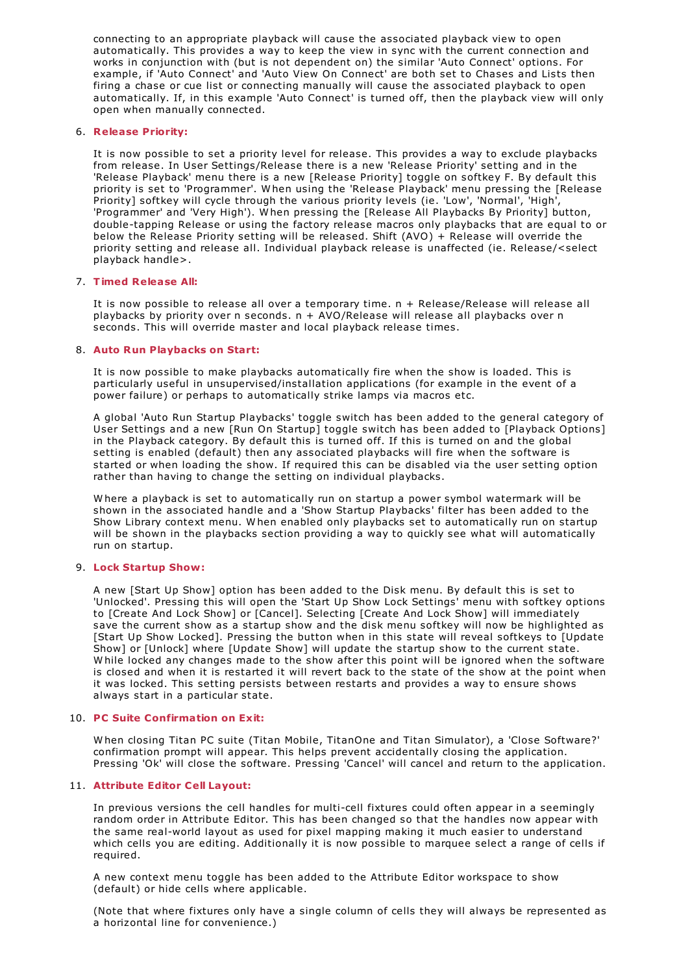connecting to an appropriate playback will cause the associated playback view to open automatically. This provides a way to keep the view in sync with the current connection and works in conjunction with (but is not dependent on) the similar 'Auto Connect' options. For example, if 'Auto Connect' and 'Auto View On Connect' are both set to Chases and Lists then firing a chase or cue list or connecting manually will cause the associated playback to open automatically. If, in this example 'Auto Connect' is turned off, then the playback view will only open when manually connected.

## 6. **Release Priority:**

It is now possible to set a priority level for release. This provides a way to exclude playbacks from release. In User Settings/Release there is a new 'Release Priority' setting and in the 'Release Playback' menu there is a new [Release Priority] toggle on softkey F. By default this priority is set to 'Programmer'. W hen using the 'Release Playback' menu pressing the [Release Priority] softkey will cycle through the various priority levels (ie. 'Low', 'Normal', 'High', 'Programmer' and 'Very High'). W hen pressing the [Release All Playbacks By Priority] button, double-tapping Release or using the factory release macros only playbacks that are equal to or below the Release Priority setting will be released. Shift (AVO) + Release will override the priority setting and release all. Individual playback release is unaffected (ie. Release/<select playback handle>.

## 7. **Timed Release All:**

It is now possible to release all over a temporary time. n + Release/Release will release all playbacks by priority over n seconds. n + AVO/Release will release all playbacks over n seconds. This will override master and local playback release times.

## 8. **Auto Run Playbacks on Start:**

It is now possible to make playbacks automatically fire when the show is loaded. This is particularly useful in unsupervised/installation applications (for example in the event of a power failure) or perhaps to automatically strike lamps via macros etc.

A global 'Auto Run Startup Playbacks' toggle switch has been added to the general category of User Settings and a new [Run On Startup] toggle switch has been added to [Playback Options] in the Playback category. By default this is turned off. If this is turned on and the global setting is enabled (default) then any associated playbacks will fire when the software is started or when loading the show. If required this can be disabled via the user setting option rather than having to change the setting on individual playbacks.

W here a playback is set to automatically run on startup a power symbol watermark will be shown in the associated handle and a 'Show Startup Playbacks' filter has been added to the Show Library context menu. W hen enabled only playbacks set to automatically run on startup will be shown in the playbacks section providing a way to quickly see what will automatically run on startup.

## 9. **Lock Startup Show:**

A new [Start Up Show] option has been added to the Disk menu. By default this is set to 'Unlocked'. Pressing this will open the 'Start Up Show Lock Settings' menu with softkey options to [Create And Lock Show] or [Cancel]. Selecting [Create And Lock Show] will immediately save the current show as a startup show and the disk menu softkey will now be highlighted as [Start Up Show Locked]. Pressing the button when in this state will reveal softkeys to [Update Show] or [Unlock] where [Update Show] will update the startup show to the current state. W hile locked any changes made to the show after this point will be ignored when the software is closed and when it is restarted it will revert back to the state of the show at the point when it was locked. This setting persists between restarts and provides a way to ensure shows always start in a particular state.

## 10. **PC Suite Confirmation on Exit:**

W hen closing Titan PC suite (Titan Mobile, TitanOne and Titan Simulator), a 'Close Software?' confirmation prompt will appear. This helps prevent accidentally closing the application. Pressing 'Ok' will close the software. Pressing 'Cancel' will cancel and return to the application.

## 11. **Attribute Editor Cell Layout:**

In previous versions the cell handles for multi-cell fixtures could often appear in a seemingly random order in Attribute Editor. This has been changed so that the handles now appear with the same real-world layout as used for pixel mapping making it much easier to understand which cells you are editing. Additionally it is now possible to marquee select a range of cells if required.

A new context menu toggle has been added to the Attribute Editor workspace to show (default) or hide cells where applicable.

(Note that where fixtures only have a single column of cells they will always be represented as a horizontal line for convenience.)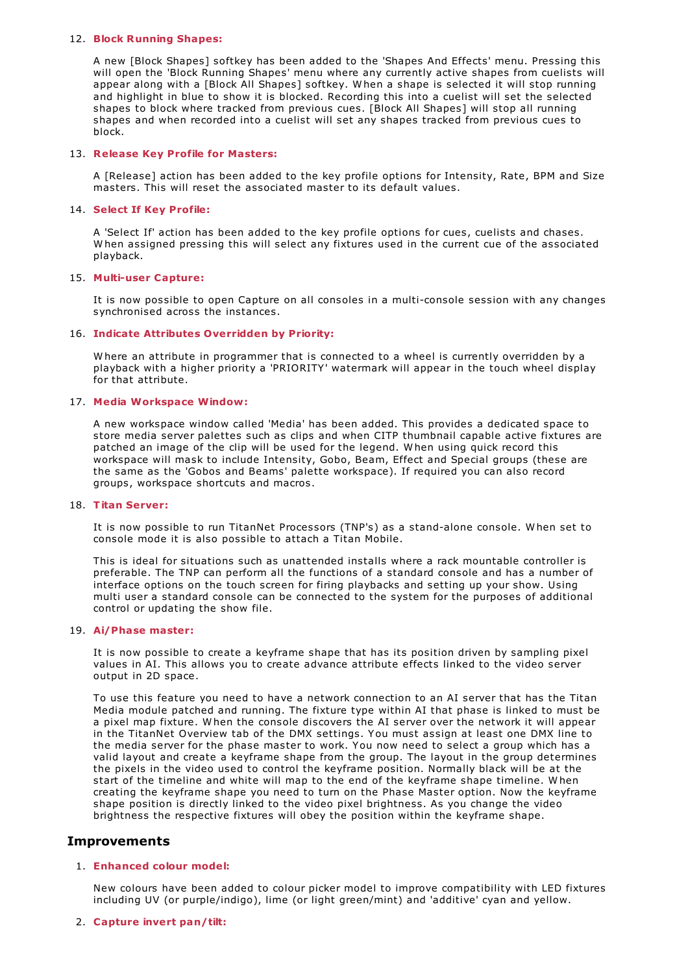## 12. **Block Running Shapes:**

A new [Block Shapes] softkey has been added to the 'Shapes And Effects' menu. Pressing this will open the 'Block Running Shapes' menu where any currently active shapes from cuelists will appear along with a [Block All Shapes] softkey. W hen a shape is selected it will stop running and highlight in blue to show it is blocked. Recording this into a cuelist will set the selected shapes to block where tracked from previous cues. [Block All Shapes] will stop all running shapes and when recorded into a cuelist will set any shapes tracked from previous cues to block.

### 13. **Release Key Profile for Masters:**

A [Release] action has been added to the key profile options for Intensity, Rate, BPM and Size masters. This will reset the associated master to its default values.

### 14. **Select If Key Profile:**

<sup>A</sup> 'Select If' action has been added to the key profile options for cues, cuelists and chases. <sup>W</sup> hen assigned pressing this will select any fixtures used in the current cue of the associated playback.

### 15. **Multi-user Capture:**

It is now possible to open Capture on all consoles in a multi-console session with any changes synchronised across the instances.

### 16. **Indicate Attributes Overridden by Priority:**

W here an attribute in programmer that is connected to a wheel is currently overridden by a playback with a higher priority a 'PRIORITY' watermark will appear in the touch wheel display for that attribute.

## 17. **Media Workspace Window:**

A new workspace window called 'Media' has been added. This provides a dedicated space to store media server palettes such as clips and when CITP thumbnail capable active fixtures are patched an image of the clip will be used for the legend. W hen using quick record this workspace will mask to include Intensity, Gobo, Beam, Effect and Special groups (these are the same as the 'Gobos and Beams' palette workspace). If required you can also record groups, workspace shortcuts and macros.

## 18. **Titan Server:**

It is now possible to run TitanNet Processors (TNP's) as a stand-alone console. W hen set to console mode it is also possible to attach a Titan Mobile.

This is ideal for situations such as unattended installs where a rack mountable controller is preferable. The TNP can perform all the functions of a standard console and has a number of interface options on the touch screen for firing playbacks and setting up your show. Using multi user a standard console can be connected to the system for the purposes of additional control or updating the show file.

## 19. **Ai/Phase master:**

It is now possible to create a keyframe shape that has its position driven by sampling pixel values in AI. This allows you to create advance attribute effects linked to the video server output in 2D space.

To use this feature you need to have a network connection to an AI server that has the Titan Media module patched and running. The fixture type within AI that phase is linked to must be a pixel map fixture. W hen the console discovers the AI server over the network it will appear in the TitanNet Overview tab of the DMX settings. You must assign at least one DMX line to the media server for the phase master to work. You now need to select a group which has a valid layout and create a keyframe shape from the group. The layout in the group determines the pixels in the video used to control the keyframe position. Normally black will be at the start of the timeline and white will map to the end of the keyframe shape timeline. W hen creating the keyframe shape you need to turn on the Phase Master option. Now the keyframe shape position is directly linked to the video pixel brightness. As you change the video brightness the respective fixtures will obey the position within the keyframe shape.

# **Improvements**

## 1. **Enhanced colour model:**

New colours have been added to colour picker model to improve compatibility with LED fixtures including UV (or purple/indigo), lime (or light green/mint) and 'additive' cyan and yellow.

## 2. **Capture invert pan/tilt:**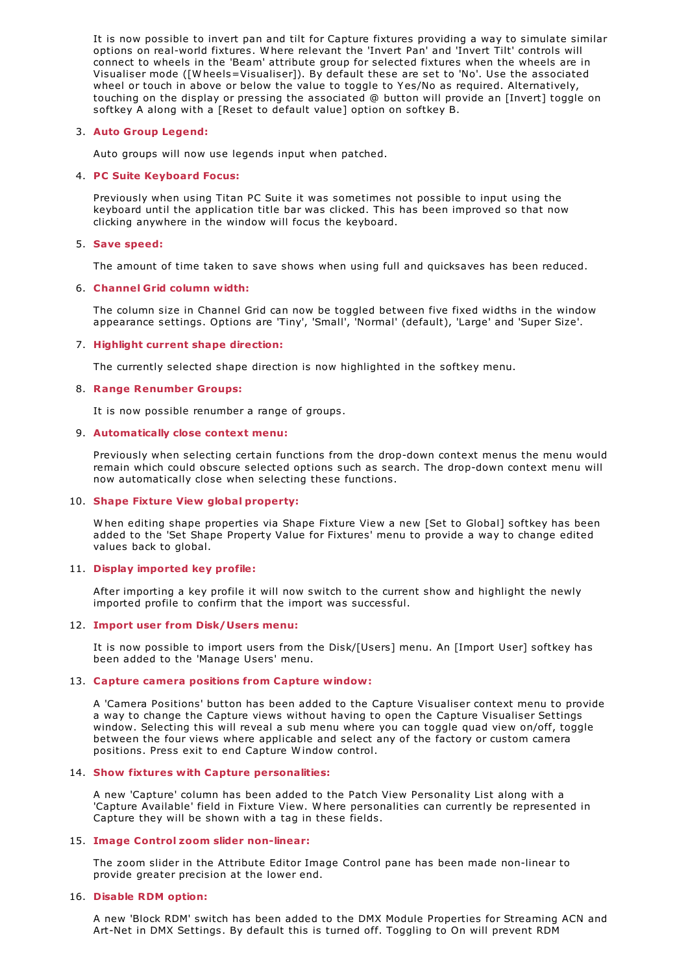It is now possible to invert pan and tilt for Capture fixtures providing a way to simulate similar options on real-world fixtures. W here relevant the 'Invert Pan' and 'Invert Tilt' controls will connect to wheels in the 'Beam' attribute group for selected fixtures when the wheels are in Visualiser mode ([W heels=Visualiser]). By default these are set to 'No'. Use the associated wheel or touch in above or below the value to toggle to Yes/No as required. Alternatively, touching on the display or pressing the associated @ button will provide an [Invert] toggle on softkey A along with a [Reset to default value] option on softkey B.

## 3. **Auto Group Legend:**

Auto groups will now use legends input when patched.

## 4. **PC Suite Keyboard Focus:**

Previously when using Titan PC Suite it was sometimes not possible to input using the keyboard until the application title bar was clicked. This has been improved so that now clicking anywhere in the window will focus the keyboard.

## 5. **Save speed:**

The amount of time taken to save shows when using full and quicksaves has been reduced.

## 6. **Channel Grid column width:**

The column size in Channel Grid can now be toggled between five fixed widths in the window appearance settings. Options are 'Tiny', 'Small', 'Normal' (default), 'Large' and 'Super Size'.

## 7. **Highlight current shape direction:**

The currently selected shape direction is now highlighted in the softkey menu.

## 8. **Range Renumber Groups:**

It is now possible renumber a range of groups.

## 9. **Automatically close context menu:**

Previously when selecting certain functions from the drop-down context menus the menu would remain which could obscure selected options such as search. The drop-down context menu will now automatically close when selecting these functions.

## 10. **Shape Fixture View global property:**

W hen editing shape properties via Shape Fixture View a new [Set to Global] softkey has been added to the 'Set Shape Property Value for Fixtures' menu to provide a way to change edited values back to global.

## 11. **Display imported key profile:**

After importing a key profile it will now switch to the current show and highlight the newly imported profile to confirm that the import was successful.

# 12. **Import user from Disk/Users menu:**

It is now possible to import users from the Disk/[Users] menu. An [Import User] softkey has been added to the 'Manage Users' menu.

## 13. **Capture camera positions from Capture window:**

A 'Camera Positions' button has been added to the Capture Visualiser context menu to provide a way to change the Capture views without having to open the Capture Visualiser Settings window. Selecting this will reveal a sub menu where you can toggle quad view on/off, toggle between the four views where applicable and select any of the factory or custom camera positions. Press exit to end Capture W indow control.

## 14. **Show fixtures with Capture personalities:**

A new 'Capture' column has been added to the Patch View Personality List along with a 'Capture Available' field in Fixture View. W here personalities can currently be represented in Capture they will be shown with a tag in these fields.

## 15. **Image Control zoom slider non-linear:**

The zoom slider in the Attribute Editor Image Control pane has been made non-linear to provide greater precision at the lower end.

## 16. **Disable RDM option:**

A new 'Block RDM' switch has been added to the DMX Module Properties for Streaming ACN and Art-Net in DMX Settings. By default this is turned off. Toggling to On will prevent RDM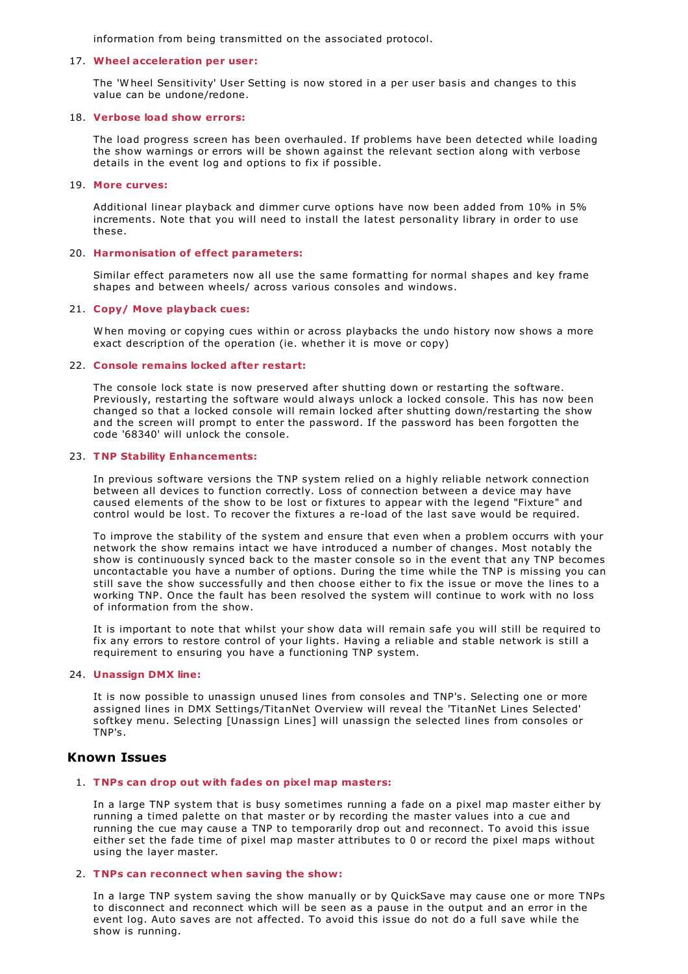information from being transmitted on the associated protocol.

## 17. **Wheel acceleration per user:**

The 'W heel Sensitivity' User Setting is now stored in a per user basis and changes to this value can be undone/redone.

## 18. **Verbose load show errors:**

The load progress screen has been overhauled. If problems have been detected while loading the show warnings or errors will be shown against the relevant section along with verbose details in the event log and options to fix if possible.

## 19. **More curves:**

Additional linear playback and dimmer curve options have now been added from 10% in 5% increments. Note that you will need to install the latest personality library in order to use these.

## 20. **Harmonisation of effect parameters:**

Similar effect parameters now all use the same formatting for normal shapes and key frame shapes and between wheels/ across various consoles and windows.

## 21. **Copy/ Move playback cues:**

W hen moving or copying cues within or across playbacks the undo history now shows a more exact description of the operation (ie. whether it is move or copy)

## 22. **Console remains locked after restart:**

The console lock state is now preserved after shutting down or restarting the software. Previously, restarting the software would always unlock a locked console. This has now been changed so that a locked console will remain locked after shutting down/restarting the show and the screen will prompt to enter the password. If the password has been forgotten the code '68340' will unlock the console.

## 23. **TNP Stability Enhancements:**

In previous software versions the TNP system relied on a highly reliable network connection between all devices to function correctly. Loss of connection between a device may have caused elements of the show to be lost or fixtures to appear with the legend "Fixture" and control would be lost. To recover the fixtures a re-load of the last save would be required.

To improve the stability of the system and ensure that even when a problem occurrs with your network the show remains intact we have introduced a number of changes. Most notably the show is continuously synced back to the master console so in the event that any TNP becomes uncontactable you have a number of options. During the time while the TNP is missing you can still save the show successfully and then choose either to fix the issue or move the lines to a working TNP. Once the fault has been resolved the system will continue to work with no loss of information from the show.

It is important to note that whilst your show data will remain safe you will still be required to fix any errors to restore control of your lights. Having a reliable and stable network is still a requirement to ensuring you have a functioning TNP system.

## 24. **Unassign DMX line:**

It is now possible to unassign unused lines from consoles and TNP's. Selecting one or more assigned lines in DMX Settings/TitanNet Overview will reveal the 'TitanNet Lines Selected' softkey menu. Selecting [Unassign Lines] will unassign the selected lines from consoles or TNP's.

# **Known Issues**

## 1. **TNPs can drop out with fades on pixel map masters:**

In a large TNP system that is busy sometimes running a fade on a pixel map master either by running a timed palette on that master or by recording the master values into a cue and running the cue may cause a TNP to temporarily drop out and reconnect. To avoid this issue either set the fade time of pixel map master attributes to 0 or record the pixel maps without using the layer master.

## 2. **TNPs can reconnect when saving the show:**

In a large TNP system saving the show manually or by QuickSave may cause one or more TNPs to disconnect and reconnect which will be seen as a pause in the output and an error in the event log. Auto saves are not affected. To avoid this issue do not do a full save while the show is running.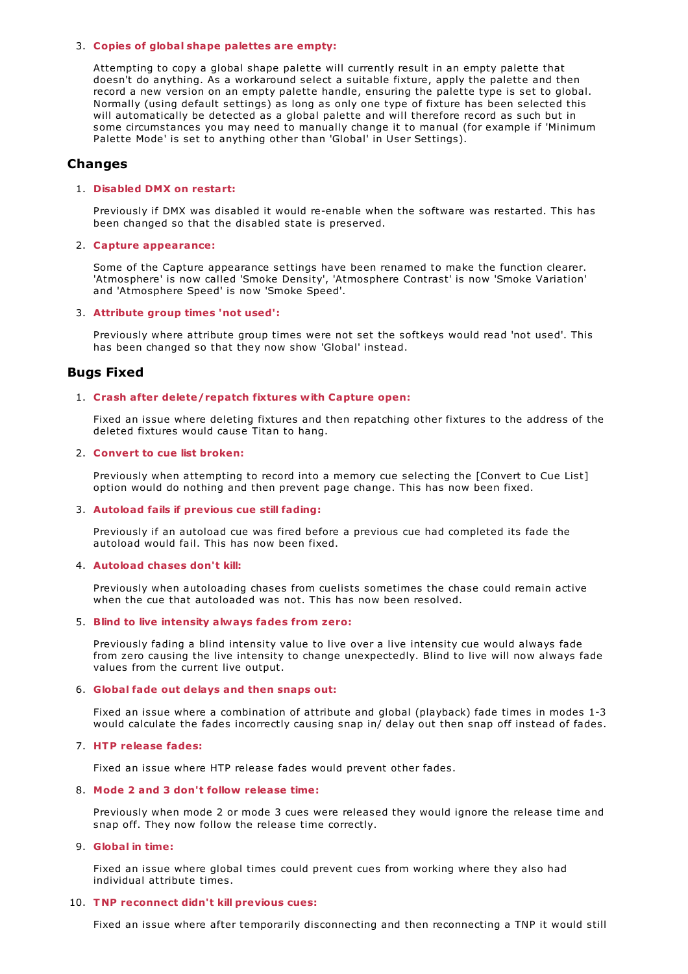## 3. **Copies of global shape palettes are empty:**

Attempting to copy a global shape palette will currently result in an empty palette that doesn't do anything. As a workaround select a suitable fixture, apply the palette and then record a new version on an empty palette handle, ensuring the palette type is set to global. Normally (using default settings) as long as only one type of fixture has been selected this will automatically be detected as a global palette and will therefore record as such but in some circumstances you may need to manually change it to manual (for example if 'Minimum Palette Mode' is set to anything other than 'Global' in User Settings).

## **Changes**

## 1. **Disabled DMX on restart:**

Previously if DMX was disabled it would re-enable when the software was restarted. This has been changed so that the disabled state is preserved.

## 2. **Capture appearance:**

Some of the Capture appearance settings have been renamed to make the function clearer. 'Atmosphere' is now called 'Smoke Density', 'Atmosphere Contrast' is now 'Smoke Variation' and 'Atmosphere Speed' is now 'Smoke Speed'.

## 3. **Attribute group times 'not used':**

Previously where attribute group times were not set the softkeys would read 'not used'. This has been changed so that they now show 'Global' instead.

# **Bugs Fixed**

## 1. **Crash after delete/repatch fixtures with Capture open:**

Fixed an issue where deleting fixtures and then repatching other fixtures to the address of the deleted fixtures would cause Titan to hang.

## 2. **Convert to cue list broken:**

Previously when attempting to record into a memory cue selecting the [Convert to Cue List] option would do nothing and then prevent page change. This has now been fixed.

### 3. **Autoload fails if previous cue still fading:**

Previously if an autoload cue was fired before a previous cue had completed its fade the autoload would fail. This has now been fixed.

## 4. **Autoload chases don't kill:**

Previously when autoloading chases from cuelists sometimes the chase could remain active when the cue that autoloaded was not. This has now been resolved.

### 5. **Blind to live intensity always fades from zero:**

Previously fading a blind intensity value to live over a live intensity cue would always fade from zero causing the live intensity to change unexpectedly. Blind to live will now always fade values from the current live output.

### 6. **Global fade out delays and then snaps out:**

Fixed an issue where a combination of attribute and global (playback) fade times in modes 1-3 would calculate the fades incorrectly causing snap in/ delay out then snap off instead of fades.

### 7. **HTP release fades:**

Fixed an issue where HTP release fades would prevent other fades.

## 8. **Mode 2 and 3 don't follow release time:**

Previously when mode 2 or mode 3 cues were released they would ignore the release time and snap off. They now follow the release time correctly.

### 9. **Global in time:**

Fixed an issue where global times could prevent cues from working where they also had individual attribute times.

## 10. **TNP reconnect didn't kill previous cues:**

Fixed an issue where after temporarily disconnecting and then reconnecting a TNP it would still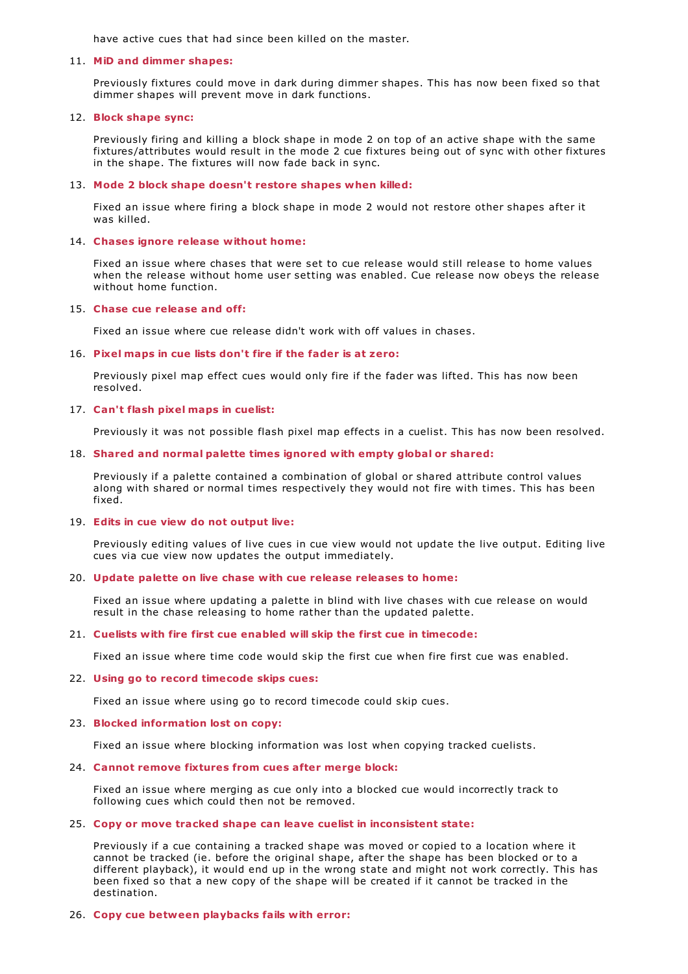have active cues that had since been killed on the master.

## 11. **MiD and dimmer shapes:**

Previously fixtures could move in dark during dimmer shapes. This has now been fixed so that dimmer shapes will prevent move in dark functions.

#### 12. **Block shape sync:**

Previously firing and killing a block shape in mode 2 on top of an active shape with the same fixtures/attributes would result in the mode 2 cue fixtures being out of sync with other fixtures in the shape. The fixtures will now fade back in sync.

### 13. **Mode 2 block shape doesn't restore shapes when killed:**

Fixed an issue where firing a block shape in mode 2 would not restore other shapes after it was killed.

### 14. **Chases ignore release without home:**

Fixed an issue where chases that were set to cue release would still release to home values when the release without home user setting was enabled. Cue release now obeys the release without home function.

## 15. **Chase cue release and off:**

Fixed an issue where cue release didn't work with off values in chases.

### 16. **Pixel maps in cue lists don't fire if the fader is at zero:**

Previously pixel map effect cues would only fire if the fader was lifted. This has now been resolved.

### 17. **Can't flash pixel maps in cuelist:**

Previously it was not possible flash pixel map effects in a cuelist. This has now been resolved.

### 18. **Shared and normal palette times ignored with empty global or shared:**

Previously if a palette contained a combination of global or shared attribute control values along with shared or normal times respectively they would not fire with times. This has been fixed.

#### 19. **Edits in cue view do not output live:**

Previously editing values of live cues in cue view would not update the live output. Editing live cues via cue view now updates the output immediately.

## 20. **Update palette on live chase with cue release releases to home:**

Fixed an issue where updating a palette in blind with live chases with cue release on would result in the chase releasing to home rather than the updated palette.

#### 21. **Cuelists with fire first cue enabled will skip the first cue in timecode:**

Fixed an issue where time code would skip the first cue when fire first cue was enabled.

### 22. **Using go to record timecode skips cues:**

Fixed an issue where using go to record timecode could skip cues.

### 23. **Blocked information lost on copy:**

Fixed an issue where blocking information was lost when copying tracked cuelists.

## 24. **Cannot remove fixtures from cues after merge block:**

Fixed an issue where merging as cue only into a blocked cue would incorrectly track to following cues which could then not be removed.

#### 25. **Copy or move tracked shape can leave cuelist in inconsistent state:**

Previously if a cue containing a tracked shape was moved or copied to a location where it cannot be tracked (ie. before the original shape, after the shape has been blocked or to a different playback), it would end up in the wrong state and might not work correctly. This has been fixed so that a new copy of the shape will be created if it cannot be tracked in the destination.

### 26. **Copy cue between playbacks fails with error:**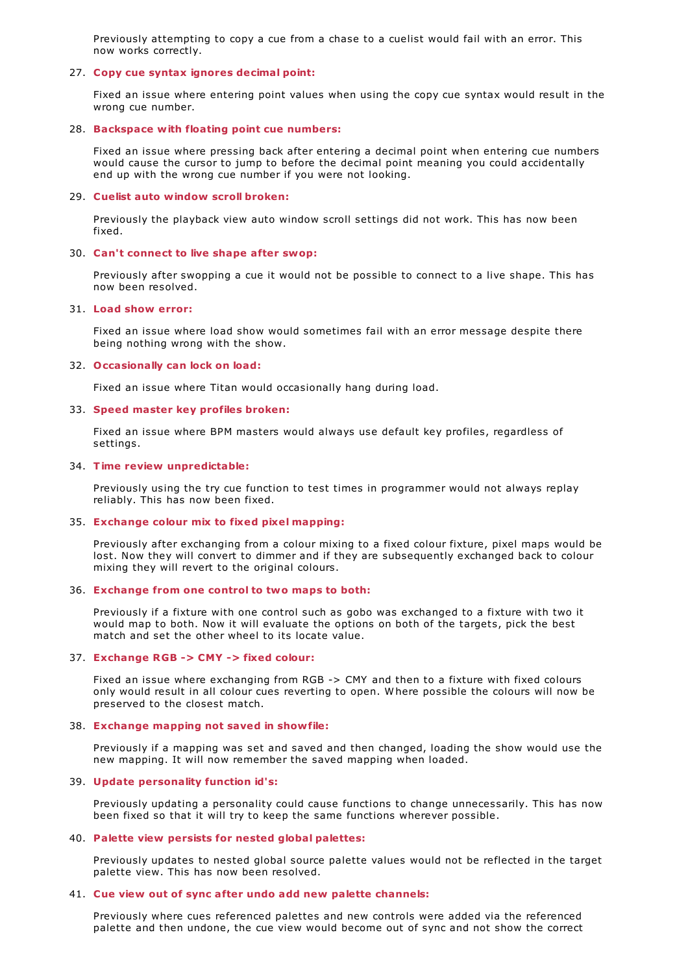Previously attempting to copy a cue from a chase to a cuelist would fail with an error. This now works correctly.

## 27. **Copy cue syntax ignores decimal point:**

Fixed an issue where entering point values when using the copy cue syntax would result in the wrong cue number.

#### 28. **Backspace with floating point cue numbers:**

Fixed an issue where pressing back after entering a decimal point when entering cue numbers would cause the cursor to jump to before the decimal point meaning you could accidentally end up with the wrong cue number if you were not looking.

#### 29. **Cuelist auto window scroll broken:**

Previously the playback view auto window scroll settings did not work. This has now been fixed.

#### 30. **Can't connect to live shape after swop:**

Previously after swopping a cue it would not be possible to connect to a live shape. This has now been resolved.

## 31. **Load show error:**

Fixed an issue where load show would sometimes fail with an error message despite there being nothing wrong with the show.

#### 32. **Occasionally can lock on load:**

Fixed an issue where Titan would occasionally hang during load.

#### 33. **Speed master key profiles broken:**

Fixed an issue where BPM masters would always use default key profiles, regardless of settings.

#### 34. **Time review unpredictable:**

Previously using the try cue function to test times in programmer would not always replay reliably. This has now been fixed.

#### 35. **Exchange colour mix to fixed pixel mapping:**

Previously after exchanging from a colour mixing to a fixed colour fixture, pixel maps would be lost. Now they will convert to dimmer and if they are subsequently exchanged back to colour mixing they will revert to the original colours.

## 36. **Exchange from one control to two maps to both:**

Previously if a fixture with one control such as gobo was exchanged to a fixture with two it would map to both. Now it will evaluate the options on both of the targets, pick the best match and set the other wheel to its locate value.

### 37. **Exchange RGB -> CMY -> fixed colour:**

Fixed an issue where exchanging from RGB -> CMY and then to a fixture with fixed colours only would result in all colour cues reverting to open. W here possible the colours will now be preserved to the closest match.

#### 38. **Exchange mapping not saved in showfile:**

Previously if a mapping was set and saved and then changed, loading the show would use the new mapping. It will now remember the saved mapping when loaded.

## 39. **Update personality function id's:**

Previously updating a personality could cause functions to change unnecessarily. This has now been fixed so that it will try to keep the same functions wherever possible.

#### 40. **Palette view persists for nested global palettes:**

Previously updates to nested global source palette values would not be reflected in the target palette view. This has now been resolved.

#### 41. **Cue view out of sync after undo add new palette channels:**

Previously where cues referenced palettes and new controls were added via the referenced palette and then undone, the cue view would become out of sync and not show the correct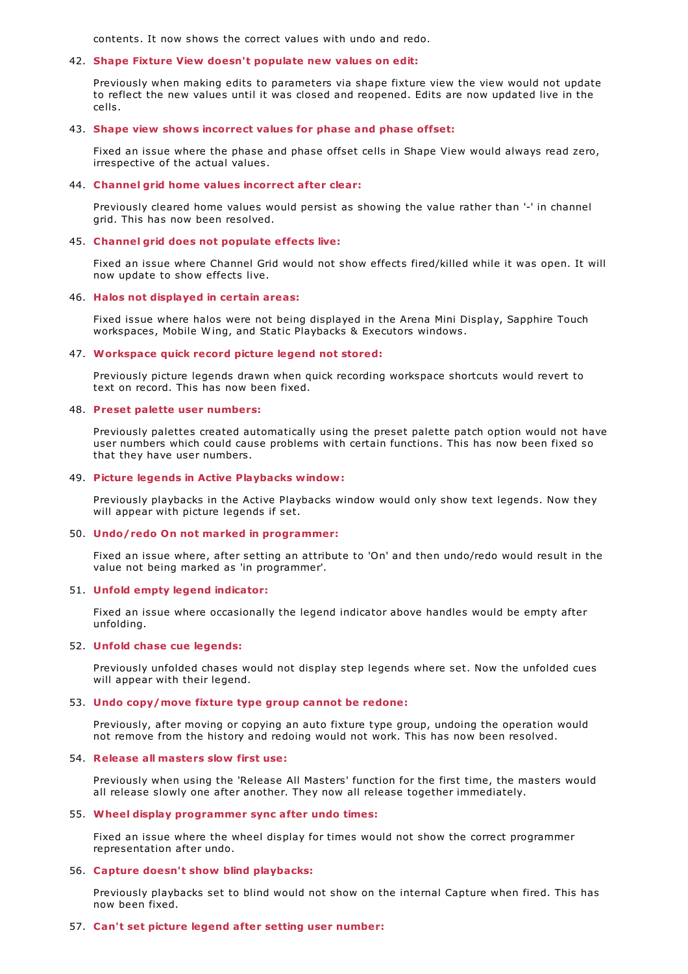contents. It now shows the correct values with undo and redo.

### 42. **Shape Fixture View doesn't populate new values on edit:**

Previously when making edits to parameters via shape fixture view the view would not update to reflect the new values until it was closed and reopened. Edits are now updated live in the cells.

#### 43. **Shape view shows incorrect values for phase and phase offset:**

Fixed an issue where the phase and phase offset cells in Shape View would always read zero, irrespective of the actual values.

## 44. **Channel grid home values incorrect after clear:**

Previously cleared home values would persist as showing the value rather than '-' in channel grid. This has now been resolved.

## 45. **Channel grid does not populate effects live:**

Fixed an issue where Channel Grid would not show effects fired/killed while it was open. It will now update to show effects live.

## 46. **Halos not displayed in certain areas:**

Fixed issue where halos were not being displayed in the Arena Mini Display, Sapphire Touch workspaces, Mobile W ing, and Static Playbacks & Executors windows.

## 47. **Workspace quick record picture legend not stored:**

Previously picture legends drawn when quick recording workspace shortcuts would revert to text on record. This has now been fixed.

### 48. **Preset palette user numbers:**

Previously palettes created automatically using the preset palette patch option would not have user numbers which could cause problems with certain functions. This has now been fixed so that they have user numbers.

## 49. **Picture legends in Active Playbacks window:**

Previously playbacks in the Active Playbacks window would only show text legends. Now they will appear with picture legends if set.

#### 50. **Undo/redo On not marked in programmer:**

Fixed an issue where, after setting an attribute to 'On' and then undo/redo would result in the value not being marked as 'in programmer'.

#### 51. **Unfold empty legend indicator:**

Fixed an issue where occasionally the legend indicator above handles would be empty after unfolding.

#### 52. **Unfold chase cue legends:**

Previously unfolded chases would not display step legends where set. Now the unfolded cues will appear with their legend.

## 53. **Undo copy/move fixture type group cannot be redone:**

Previously, after moving or copying an auto fixture type group, undoing the operation would not remove from the history and redoing would not work. This has now been resolved.

#### 54. **Release all masters slow first use:**

Previously when using the 'Release All Masters' function for the first time, the masters would all release slowly one after another. They now all release together immediately.

## 55. **Wheel display programmer sync after undo times:**

Fixed an issue where the wheel display for times would not show the correct programmer representation after undo.

## 56. **Capture doesn't show blind playbacks:**

Previously playbacks set to blind would not show on the internal Capture when fired. This has now been fixed.

### 57. **Can't set picture legend after setting user number:**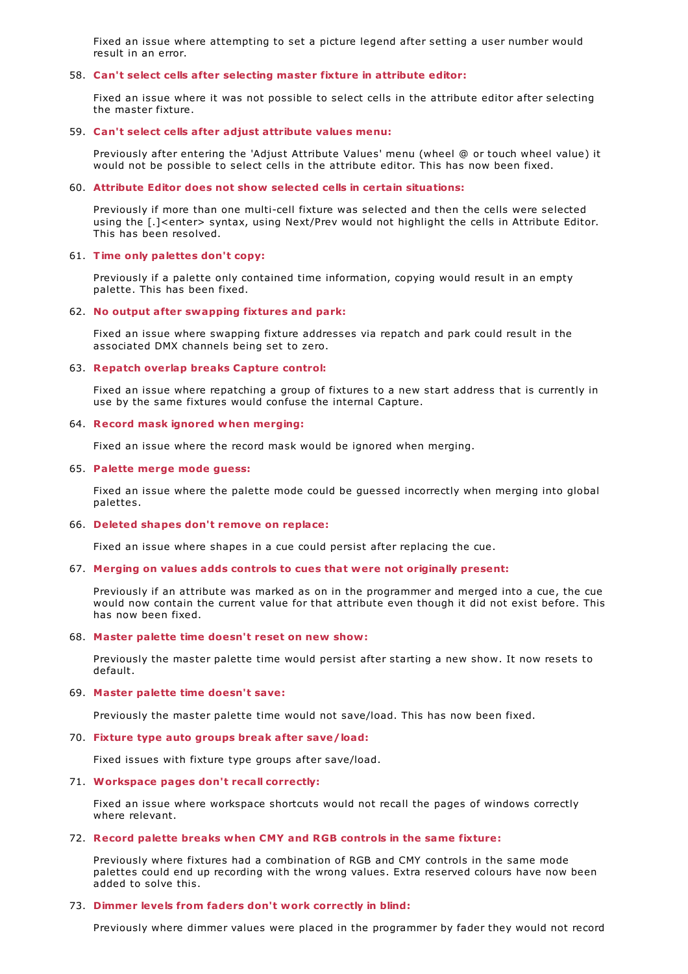Fixed an issue where attempting to set a picture legend after setting a user number would result in an error.

## 58. **Can't select cells after selecting master fixture in attribute editor:**

Fixed an issue where it was not possible to select cells in the attribute editor after selecting the master fixture.

## 59. **Can't select cells after adjust attribute values menu:**

Previously after entering the 'Adjust Attribute Values' menu (wheel @ or touch wheel value) it would not be possible to select cells in the attribute editor. This has now been fixed.

### 60. **Attribute Editor does not show selected cells in certain situations:**

Previously if more than one multi-cell fixture was selected and then the cells were selected using the [.]<enter> syntax, using Next/Prev would not highlight the cells in Attribute Editor. This has been resolved.

#### 61. **Time only palettes don't copy:**

Previously if a palette only contained time information, copying would result in an empty palette. This has been fixed.

## 62. **No output after swapping fixtures and park:**

Fixed an issue where swapping fixture addresses via repatch and park could result in the associated DMX channels being set to zero.

#### 63. **Repatch overlap breaks Capture control:**

Fixed an issue where repatching a group of fixtures to a new start address that is currently in use by the same fixtures would confuse the internal Capture.

#### 64. **Record mask ignored when merging:**

Fixed an issue where the record mask would be ignored when merging.

#### 65. **Palette merge mode guess:**

Fixed an issue where the palette mode could be guessed incorrectly when merging into global palettes.

#### 66. **Deleted shapes don't remove on replace:**

Fixed an issue where shapes in a cue could persist after replacing the cue.

### 67. **Merging on values adds controls to cues that were not originally present:**

Previously if an attribute was marked as on in the programmer and merged into a cue, the cue would now contain the current value for that attribute even though it did not exist before. This has now been fixed.

### 68. **Master palette time doesn't reset on new show:**

Previously the master palette time would persist after starting a new show. It now resets to default.

#### 69. **Master palette time doesn't save:**

Previously the master palette time would not save/load. This has now been fixed.

#### 70. **Fixture type auto groups break after save/load:**

Fixed issues with fixture type groups after save/load.

## 71. **Workspace pages don't recall correctly:**

Fixed an issue where workspace shortcuts would not recall the pages of windows correctly where relevant.

#### 72. **Record palette breaks when CMY and RGB controls in the same fixture:**

Previously where fixtures had a combination of RGB and CMY controls in the same mode palettes could end up recording with the wrong values. Extra reserved colours have now been added to solve this.

## 73. **Dimmer levels from faders don't work correctly in blind:**

Previously where dimmer values were placed in the programmer by fader they would not record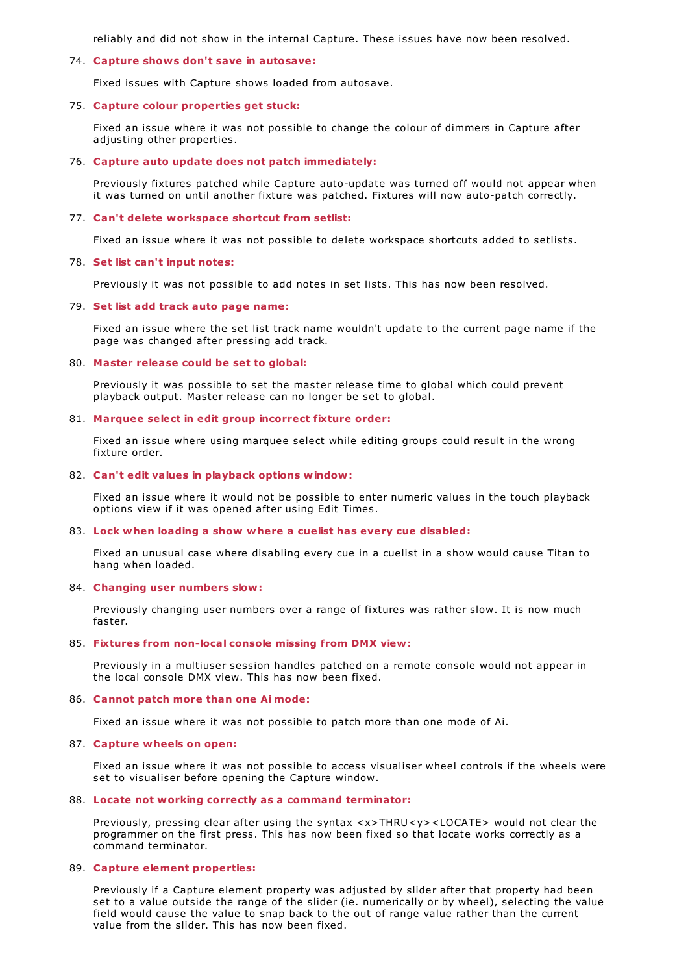reliably and did not show in the internal Capture. These issues have now been resolved.

## 74. **Capture shows don't save in autosave:**

Fixed issues with Capture shows loaded from autosave.

### 75. **Capture colour properties get stuck:**

Fixed an issue where it was not possible to change the colour of dimmers in Capture after adjusting other properties.

## 76. **Capture auto update does not patch immediately:**

Previously fixtures patched while Capture auto-update was turned off would not appear when it was turned on until another fixture was patched. Fixtures will now auto-patch correctly.

### 77. **Can't delete workspace shortcut from setlist:**

Fixed an issue where it was not possible to delete workspace shortcuts added to setlists.

#### 78. **Set list can't input notes:**

Previously it was not possible to add notes in set lists. This has now been resolved.

#### 79. **Set list add track auto page name:**

Fixed an issue where the set list track name wouldn't update to the current page name if the page was changed after pressing add track.

#### 80. **Master release could be set to global:**

Previously it was possible to set the master release time to global which could prevent playback output. Master release can no longer be set to global.

#### 81. **Marquee select in edit group incorrect fixture order:**

Fixed an issue where using marquee select while editing groups could result in the wrong fixture order.

## 82. **Can't edit values in playback options window:**

Fixed an issue where it would not be possible to enter numeric values in the touch playback options view if it was opened after using Edit Times.

#### 83. **Lock when loading a show where a cuelist has every cue disabled:**

Fixed an unusual case where disabling every cue in a cuelist in a show would cause Titan to hang when loaded.

## 84. **Changing user numbers slow:**

Previously changing user numbers over a range of fixtures was rather slow. It is now much faster.

### 85. **Fixtures from non-local console missing from DMX view:**

Previously in a multiuser session handles patched on a remote console would not appear in the local console DMX view. This has now been fixed.

### 86. **Cannot patch more than one Ai mode:**

Fixed an issue where it was not possible to patch more than one mode of Ai.

#### 87. **Capture wheels on open:**

Fixed an issue where it was not possible to access visualiser wheel controls if the wheels were set to visualiser before opening the Capture window.

## 88. **Locate not working correctly as a command terminator:**

Previously, pressing clear after using the syntax <x>THRU<y><LOCATE> would not clear the programmer on the first press. This has now been fixed so that locate works correctly as a command terminator.

### 89. **Capture element properties:**

Previously if a Capture element property was adjusted by slider after that property had been set to a value outside the range of the slider (ie. numerically or by wheel), selecting the value field would cause the value to snap back to the out of range value rather than the current value from the slider. This has now been fixed.